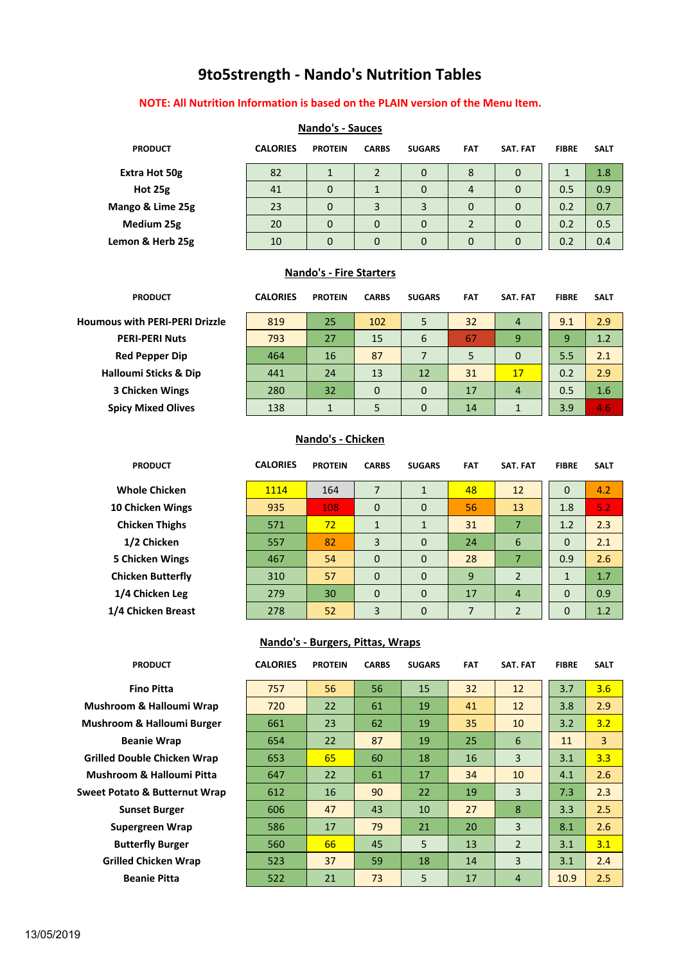# **9to5strength - Nando's Nutrition Tables**

#### **NOTE: All Nutrition Information is based on the PLAIN version of the Menu Item.**

|                  |                 | <b>INGHUO</b> 3 - JUULES |              |               |            |                 |              |             |
|------------------|-----------------|--------------------------|--------------|---------------|------------|-----------------|--------------|-------------|
| <b>PRODUCT</b>   | <b>CALORIES</b> | <b>PROTEIN</b>           | <b>CARBS</b> | <b>SUGARS</b> | <b>FAT</b> | <b>SAT. FAT</b> | <b>FIBRE</b> | <b>SALT</b> |
| Extra Hot 50g    | 82              |                          |              | 0             | 8          | 0               |              | 1.8         |
| Hot 25g          | 41              | 0                        |              | 0             | 4          | 0               | 0.5          | 0.9         |
| Mango & Lime 25g | 23              | 0                        | 3            | 3             | $\Omega$   | 0               | 0.2          | 0.7         |
| Medium 25g       | 20              | 0                        | $\Omega$     | 0             |            | 0               | 0.2          | 0.5         |
| Lemon & Herb 25g | 10              | 0                        | 0            | 0             | 0          | 0               | 0.2          | 0.4         |

# **Nando's - Sauces**

#### **Nando's - Fire Starters**

| <b>PRODUCT</b>                        | <b>CALORIES</b> | <b>PROTEIN</b> | <b>CARBS</b> | <b>SUGARS</b> | <b>FAT</b> | SAT. FAT | <b>FIBRE</b> | <b>SALT</b> |
|---------------------------------------|-----------------|----------------|--------------|---------------|------------|----------|--------------|-------------|
| <b>Houmous with PERI-PERI Drizzle</b> | 819             | 25             | 102          | 5             | 32         | 4        | 9.1          | 2.9         |
| <b>PERI-PERI Nuts</b>                 | 793             | 27             | 15           | 6             | 67         | 9        | 9            | 1.2         |
| <b>Red Pepper Dip</b>                 | 464             | 16             | 87           |               | 5          | 0        | 5.5          | 2.1         |
| <b>Halloumi Sticks &amp; Dip</b>      | 441             | 24             | 13           | 12            | 31         | 17       | 0.2          | 2.9         |
| <b>3 Chicken Wings</b>                | 280             | 32             | 0            | $\Omega$      | 17         | 4        | 0.5          | 1.6         |
| <b>Spicy Mixed Olives</b>             | 138             |                | 5            | 0             | 14         |          | 3.9          | 4.6         |

#### **Nando's - Chicken**

| <b>PRODUCT</b>           | <b>CALORIES</b> | <b>PROTEIN</b> | <b>CARBS</b> | <b>SUGARS</b> | <b>FAT</b> | <b>SAT. FAT</b> | <b>FIBRE</b> | <b>SALT</b> |
|--------------------------|-----------------|----------------|--------------|---------------|------------|-----------------|--------------|-------------|
| <b>Whole Chicken</b>     | 1114            | 164            | 7            | $\mathbf{1}$  | 48         | 12              | $\mathbf 0$  | 4.2         |
| 10 Chicken Wings         | 935             | 108            | $\Omega$     | $\mathbf{0}$  | 56         | 13              | 1.8          | 5.2         |
| <b>Chicken Thighs</b>    | 571             | 72             | $\mathbf{1}$ | $\mathbf{1}$  | 31         | 7               | 1.2          | 2.3         |
| 1/2 Chicken              | 557             | 82             | 3            | $\mathbf 0$   | 24         | 6               | $\mathbf 0$  | 2.1         |
| <b>5 Chicken Wings</b>   | 467             | 54             | $\mathbf 0$  | $\mathbf 0$   | 28         | 7               | 0.9          | 2.6         |
| <b>Chicken Butterfly</b> | 310             | 57             | $\mathbf 0$  | $\mathbf{0}$  | 9          | $\overline{2}$  | $\mathbf{1}$ | 1.7         |
| 1/4 Chicken Leg          | 279             | 30             | $\Omega$     | $\mathbf 0$   | 17         | $\overline{4}$  | $\mathbf 0$  | 0.9         |
| 1/4 Chicken Breast       | 278             | 52             | 3            | $\mathbf 0$   | 7          | $\overline{2}$  | $\mathbf 0$  | 1.2         |

#### **Nando's - Burgers, Pittas, Wraps**

| <b>PRODUCT</b>      | <b>CALORIES</b> | <b>PROTEIN</b> | <b>CARBS</b> | <b>SUGARS</b> | <b>FAT</b> | SAT. FAT       | <b>FIBRE</b> | <b>SALT</b>  |
|---------------------|-----------------|----------------|--------------|---------------|------------|----------------|--------------|--------------|
| <b>Fino Pitta</b>   | 757             | 56             | 56           | 15            | 32         | 12             | 3.7          | 3.6          |
| n & Halloumi Wrap   | 720             | 22             | 61           | 19            | 41         | 12             | 3.8          | 2.9          |
| า & Halloumi Burger | 661             | 23             | 62           | 19            | 35         | 10             | 3.2          | 3.2          |
| eanie Wrap          | 654             | 22             | 87           | 19            | 25         | 6              | 11           | $\mathbf{3}$ |
| uble Chicken Wrap   | 653             | 65             | 60           | 18            | 16         | 3              | 3.1          | 3.3          |
| m & Halloumi Pitta  | 647             | 22             | 61           | 17            | 34         | 10             | 4.1          | 2.6          |
| to & Butternut Wrap | 612             | 16             | 90           | 22            | 19         | 3              | 7.3          | 2.3          |
| <b>nset Burger</b>  | 606             | 47             | 43           | 10            | 27         | 8              | 3.3          | 2.5          |
| ergreen Wrap        | 586             | 17             | 79           | 21            | 20         | 3              | 8.1          | 2.6          |
| terfly Burger:      | 560             | 66             | 45           | 5             | 13         | $\overline{2}$ | 3.1          | 3.1          |
| d Chicken Wrap      | 523             | 37             | 59           | 18            | 14         | 3              | 3.1          | 2.4          |
| eanie Pitta         | 522             | 21             | 73           | 5             | 17         | $\overline{4}$ | 10.9         | 2.5          |

**Mushroom & Halloumi Wrap Mushroom & Halloumi Burger Beanie Wrap Grilled Double Chicken Wrap Mushroom & Halloumi Pitta Sweet Potato & Butternut Wrap Sunset Burger Supergreen Wrap Butterfly Burger Grilled Chicken Wrap Beanie Pitta**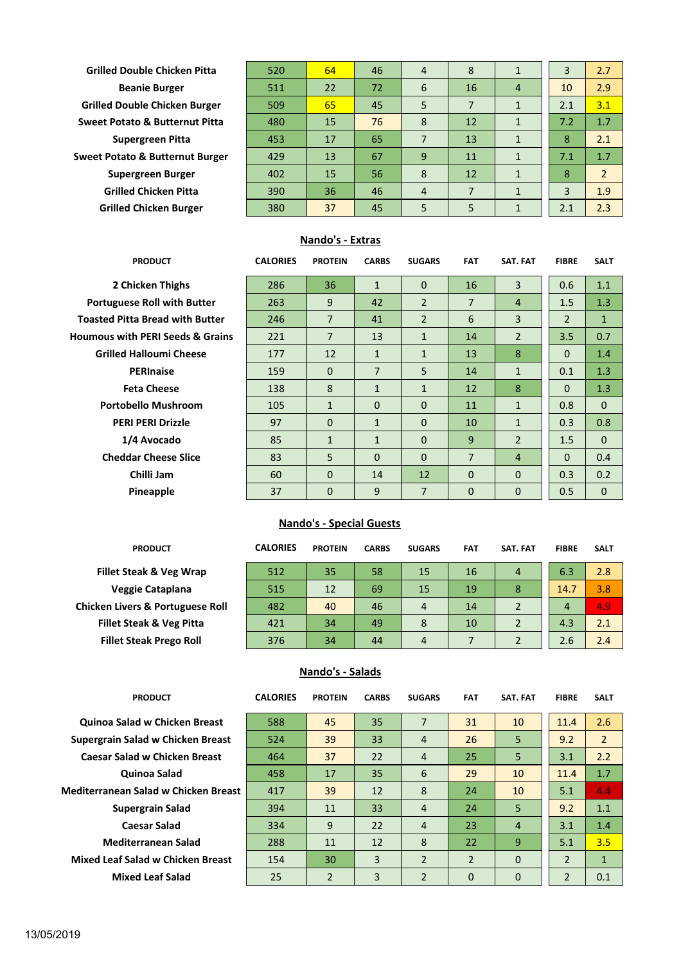| <b>Grilled Double Chicken Pitta</b>        | 520 | 64 | 46 | 4 | 8  |              | 3   | 2.7            |
|--------------------------------------------|-----|----|----|---|----|--------------|-----|----------------|
| <b>Beanie Burger</b>                       | 511 | 22 | 72 | 6 | 16 | 4            | 10  | 2.9            |
| <b>Grilled Double Chicken Burger</b>       | 509 | 65 | 45 | 5 | 7  |              | 2.1 | 3.1            |
| <b>Sweet Potato &amp; Butternut Pitta</b>  | 480 | 15 | 76 | 8 | 12 | 1            | 7.2 | 1.7            |
| <b>Supergreen Pitta</b>                    | 453 | 17 | 65 | 7 | 13 | $\mathbf{1}$ | 8   | 2.1            |
| <b>Sweet Potato &amp; Butternut Burger</b> | 429 | 13 | 67 | 9 | 11 | $\mathbf{1}$ | 7.1 | 1.7            |
| Supergreen Burger                          | 402 | 15 | 56 | 8 | 12 | $\mathbf{1}$ | 8   | $\overline{2}$ |
| <b>Grilled Chicken Pitta</b>               | 390 | 36 | 46 | 4 | 7  |              | 3   | 1.9            |
| <b>Grilled Chicken Burger</b>              | 380 | 37 | 45 | 5 | 5  |              | 2.1 | 2.3            |
|                                            |     |    |    |   |    |              |     |                |

## **Nando's - Extras**

| <b>PRODUCT</b>                              | <b>CALORIES</b> | <b>PROTEIN</b> | <b>CARBS</b>   | <b>SUGARS</b>  | <b>FAT</b>     | <b>SAT. FAT</b> | <b>FIBRE</b>   | <b>SALT</b>  |
|---------------------------------------------|-----------------|----------------|----------------|----------------|----------------|-----------------|----------------|--------------|
| 2 Chicken Thighs                            | 286             | 36             | $\mathbf{1}$   | $\Omega$       | 16             | 3               | 0.6            | 1.1          |
| <b>Portuguese Roll with Butter</b>          | 263             | 9              | 42             | $\overline{2}$ | $\overline{7}$ | 4               | 1.5            | 1.3          |
| <b>Toasted Pitta Bread with Butter</b>      | 246             | $\overline{7}$ | 41             | $\overline{2}$ | 6              | 3               | $\overline{2}$ | $\mathbf{1}$ |
| <b>Houmous with PERI Seeds &amp; Grains</b> | 221             | $\overline{7}$ | 13             | $\mathbf{1}$   | 14             | $\overline{2}$  | 3.5            | 0.7          |
| <b>Grilled Halloumi Cheese</b>              | 177             | 12             | $\mathbf{1}$   | $\mathbf{1}$   | 13             | 8               | $\Omega$       | 1.4          |
| <b>PERInaise</b>                            | 159             | $\Omega$       | $\overline{7}$ | 5              | 14             | $\mathbf{1}$    | 0.1            | 1.3          |
| <b>Feta Cheese</b>                          | 138             | 8              | $\mathbf{1}$   | $\mathbf{1}$   | 12             | 8               | $\Omega$       | 1.3          |
| <b>Portobello Mushroom</b>                  | 105             | $\mathbf{1}$   | $\Omega$       | $\Omega$       | 11             | $\mathbf{1}$    | 0.8            | $\mathbf{0}$ |
| <b>PERI PERI Drizzle</b>                    | 97              | $\Omega$       | $\mathbf{1}$   | $\Omega$       | 10             | $\mathbf{1}$    | 0.3            | 0.8          |
| 1/4 Avocado                                 | 85              | $\mathbf{1}$   | $\mathbf{1}$   | $\mathbf 0$    | 9              | $\overline{2}$  | 1.5            | $\Omega$     |
| <b>Cheddar Cheese Slice</b>                 | 83              | 5              | $\Omega$       | $\Omega$       | $\overline{7}$ | $\overline{4}$  | $\Omega$       | 0.4          |
| Chilli Jam                                  | 60              | $\Omega$       | 14             | 12             | $\Omega$       | $\Omega$        | 0.3            | 0.2          |
| Pineapple                                   | 37              | $\Omega$       | 9              | 7              | $\Omega$       | 0               | 0.5            | $\Omega$     |

# **Nando's - Special Guests**

| <b>PRODUCT</b>                              | <b>CALORIES</b> | <b>PROTEIN</b> | <b>CARBS</b> | <b>SUGARS</b> | <b>FAT</b> | <b>SAT. FAT</b> | <b>FIBRE</b> | <b>SALT</b> |
|---------------------------------------------|-----------------|----------------|--------------|---------------|------------|-----------------|--------------|-------------|
| <b>Fillet Steak &amp; Veg Wrap</b>          | 512             | 35             | 58           | 15            | 16         | 4               | 6.3          | 2.8         |
| Veggie Cataplana                            | 515             | 12             | 69           | 15            | 19         | 8               | 14.7         | 3.8         |
| <b>Chicken Livers &amp; Portuguese Roll</b> | 482             | 40             | 46           | 4             | 14         | $\overline{2}$  | 4            | 4.9         |
| <b>Fillet Steak &amp; Veg Pitta</b>         | 421             | 34             | 49           | 8             | 10         | 2               | 4.3          | 2.1         |
| <b>Fillet Steak Prego Roll</b>              | 376             | 34             | 44           | 4             |            |                 | 2.6          | 2.4         |

### **Nando's - Salads**

| <b>PRODUCT</b>                           | <b>CALORIES</b> | <b>PROTEIN</b> | <b>CARBS</b> | <b>SUGARS</b>  | <b>FAT</b>     | SAT. FAT       | <b>FIBRE</b>   | <b>SALT</b>    |
|------------------------------------------|-----------------|----------------|--------------|----------------|----------------|----------------|----------------|----------------|
| <b>Quinoa Salad w Chicken Breast</b>     | 588             | 45             | 35           | $\overline{7}$ | 31             | 10             | 11.4           | 2.6            |
| Supergrain Salad w Chicken Breast        | 524             | 39             | 33           | 4              | 26             | 5              | 9.2            | $\overline{2}$ |
| <b>Caesar Salad w Chicken Breast</b>     | 464             | 37             | 22           | 4              | 25             | 5              | 3.1            | 2.2            |
| Quinoa Salad                             | 458             | 17             | 35           | 6              | 29             | 10             | 11.4           | 1.7            |
| Mediterranean Salad w Chicken Breast     | 417             | 39             | 12           | 8              | 24             | 10             | 5.1            | 4.4            |
| <b>Supergrain Salad</b>                  | 394             | 11             | 33           | $\overline{4}$ | 24             | 5              | 9.2            | 1.1            |
| <b>Caesar Salad</b>                      | 334             | 9              | 22           | $\overline{4}$ | 23             | $\overline{4}$ | 3.1            | 1.4            |
| <b>Mediterranean Salad</b>               | 288             | 11             | 12           | 8              | 22             | 9              | 5.1            | 3.5            |
| <b>Mixed Leaf Salad w Chicken Breast</b> | 154             | 30             | 3            | $\overline{2}$ | $\overline{2}$ | $\Omega$       | $\overline{2}$ | $\mathbf{1}$   |
| <b>Mixed Leaf Salad</b>                  | 25              | $\overline{2}$ | 3            | $\overline{2}$ | $\mathbf 0$    | 0              | $\overline{2}$ | 0.1            |
|                                          |                 |                |              |                |                |                |                |                |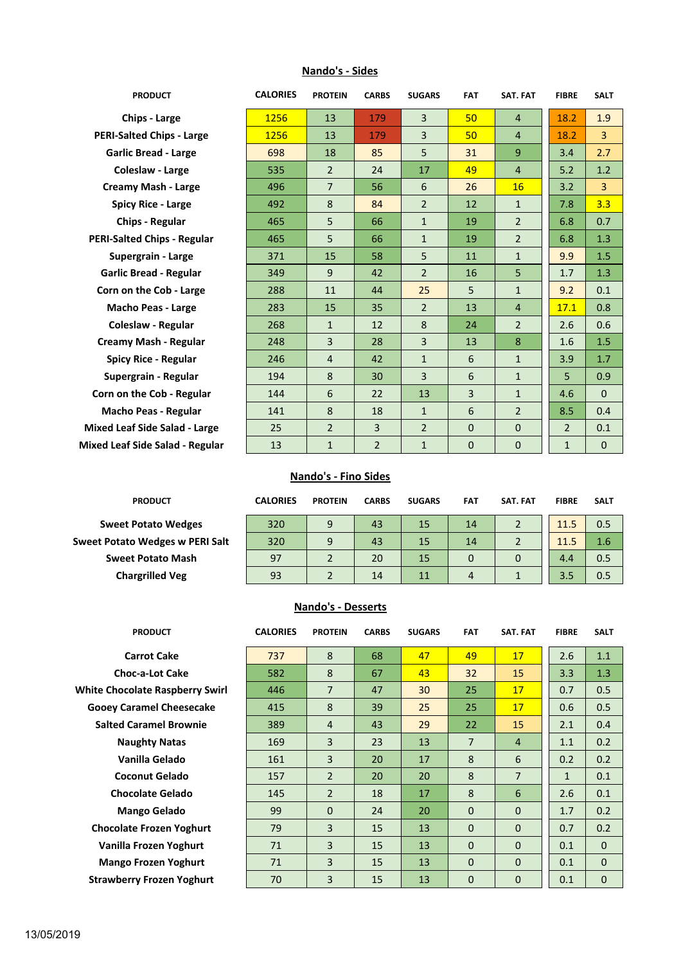| <b>PRODUCT</b>                       | <b>CALORIES</b> | <b>PROTEIN</b> | <b>CARBS</b>   | <b>SUGARS</b>  | <b>FAT</b>   | <b>SAT. FAT</b> | <b>FIBRE</b>   | <b>SALT</b>  |
|--------------------------------------|-----------------|----------------|----------------|----------------|--------------|-----------------|----------------|--------------|
| <b>Chips - Large</b>                 | 1256            | 13             | 179            | 3              | 50           | 4               | 18.2           | 1.9          |
| <b>PERI-Salted Chips - Large</b>     | 1256            | 13             | 179            | 3              | 50           | 4               | 18.2           | 3            |
| <b>Garlic Bread - Large</b>          | 698             | 18             | 85             | 5              | 31           | 9               | 3.4            | 2.7          |
| Coleslaw - Large                     | 535             | $\overline{2}$ | 24             | 17             | 49           | 4               | 5.2            | 1.2          |
| <b>Creamy Mash - Large</b>           | 496             | $\overline{7}$ | 56             | 6              | 26           | <b>16</b>       | 3.2            | 3            |
| <b>Spicy Rice - Large</b>            | 492             | 8              | 84             | $\overline{2}$ | 12           | $\mathbf{1}$    | 7.8            | 3.3          |
| <b>Chips - Regular</b>               | 465             | 5              | 66             | $\mathbf{1}$   | 19           | $\overline{2}$  | 6.8            | 0.7          |
| <b>PERI-Salted Chips - Regular</b>   | 465             | 5              | 66             | $\mathbf{1}$   | 19           | $\overline{2}$  | 6.8            | 1.3          |
| Supergrain - Large                   | 371             | 15             | 58             | 5              | 11           | $\mathbf{1}$    | 9.9            | 1.5          |
| <b>Garlic Bread - Regular</b>        | 349             | 9              | 42             | $\overline{2}$ | 16           | 5               | 1.7            | 1.3          |
| Corn on the Cob - Large              | 288             | 11             | 44             | 25             | 5            | $\mathbf{1}$    | 9.2            | 0.1          |
| <b>Macho Peas - Large</b>            | 283             | 15             | 35             | $\overline{2}$ | 13           | 4               | 17.1           | 0.8          |
| <b>Coleslaw - Regular</b>            | 268             | $\mathbf{1}$   | 12             | 8              | 24           | $\overline{2}$  | 2.6            | 0.6          |
| Creamy Mash - Regular                | 248             | 3              | 28             | 3              | 13           | 8               | 1.6            | 1.5          |
| <b>Spicy Rice - Regular</b>          | 246             | 4              | 42             | $\mathbf{1}$   | 6            | $\mathbf{1}$    | 3.9            | 1.7          |
| Supergrain - Regular                 | 194             | 8              | 30             | 3              | 6            | $\mathbf{1}$    | 5              | 0.9          |
| Corn on the Cob - Regular            | 144             | 6              | 22             | 13             | 3            | $\mathbf{1}$    | 4.6            | $\Omega$     |
| <b>Macho Peas - Regular</b>          | 141             | 8              | 18             | $\mathbf{1}$   | 6            | $\overline{2}$  | 8.5            | 0.4          |
| <b>Mixed Leaf Side Salad - Large</b> | 25              | $\overline{2}$ | 3              | $\overline{2}$ | $\Omega$     | $\Omega$        | $\overline{2}$ | 0.1          |
| Mixed Leaf Side Salad - Regular      | 13              | $\mathbf{1}$   | $\overline{2}$ | $\mathbf{1}$   | $\mathbf{0}$ | $\mathbf{0}$    | $\mathbf{1}$   | $\mathbf{0}$ |
|                                      |                 |                |                |                |              |                 |                |              |

# **Nando's - Sides**

### **Nando's - Fino Sides**

| <b>PRODUCT</b>                         | <b>CALORIES</b> | <b>PROTEIN</b> | <b>CARBS</b> | <b>SUGARS</b> | <b>FAT</b> | SAT. FAT | <b>FIBRE</b> | <b>SALT</b> |
|----------------------------------------|-----------------|----------------|--------------|---------------|------------|----------|--------------|-------------|
| <b>Sweet Potato Wedges</b>             | 320             | 9              | 43           | 15            | 14         |          | 11.5         | 0.5         |
| <b>Sweet Potato Wedges w PERI Salt</b> | 320             | 9              | 43           | 15            | 14         |          | 11.5         | 1.6         |
| <b>Sweet Potato Mash</b>               | 97              |                | 20           | 15            | 0          | 0        | 4.4          | 0.5         |
| <b>Chargrilled Veg</b>                 | 93              |                | 14           | 11            | 4          |          | 3.5          | 0.5         |

#### **Nando's - Desserts**

| <b>PRODUCT</b>                         | <b>CALORIES</b> | <b>PROTEIN</b> | <b>CARBS</b> | <b>SUGARS</b> | <b>FAT</b>     | <b>SAT. FAT</b> | <b>FIBRE</b> | <b>SALT</b>  |
|----------------------------------------|-----------------|----------------|--------------|---------------|----------------|-----------------|--------------|--------------|
| <b>Carrot Cake</b>                     | 737             | 8              | 68           | 47            | 49             | 17              | 2.6          | 1.1          |
| <b>Choc-a-Lot Cake</b>                 | 582             | 8              | 67           | 43            | 32             | 15              | 3.3          | 1.3          |
| <b>White Chocolate Raspberry Swirl</b> | 446             | $\overline{7}$ | 47           | 30            | 25             | 17              | 0.7          | 0.5          |
| <b>Gooey Caramel Cheesecake</b>        | 415             | 8              | 39           | 25            | 25             | 17              | 0.6          | 0.5          |
| <b>Salted Caramel Brownie</b>          | 389             | $\overline{4}$ | 43           | 29            | 22             | 15              | 2.1          | 0.4          |
| <b>Naughty Natas</b>                   | 169             | 3              | 23           | 13            | $\overline{7}$ | $\overline{4}$  | 1.1          | 0.2          |
| Vanilla Gelado                         | 161             | $\overline{3}$ | 20           | 17            | 8              | 6               | 0.2          | 0.2          |
| <b>Coconut Gelado</b>                  | 157             | $\overline{2}$ | 20           | 20            | 8              | $\overline{7}$  | $\mathbf{1}$ | 0.1          |
| <b>Chocolate Gelado</b>                | 145             | $\overline{2}$ | 18           | 17            | 8              | 6               | 2.6          | 0.1          |
| <b>Mango Gelado</b>                    | 99              | $\Omega$       | 24           | 20            | $\Omega$       | $\Omega$        | 1.7          | 0.2          |
| <b>Chocolate Frozen Yoghurt</b>        | 79              | 3              | 15           | 13            | $\Omega$       | $\Omega$        | 0.7          | 0.2          |
| Vanilla Frozen Yoghurt                 | 71              | $\overline{3}$ | 15           | 13            | 0              | $\mathbf{0}$    | 0.1          | $\mathbf{0}$ |
| <b>Mango Frozen Yoghurt</b>            | 71              | 3              | 15           | 13            | $\Omega$       | $\Omega$        | 0.1          | $\mathbf{0}$ |
| <b>Strawberry Frozen Yoghurt</b>       | 70              | $\overline{3}$ | 15           | 13            | 0              | $\mathbf{0}$    | 0.1          | $\mathbf{0}$ |